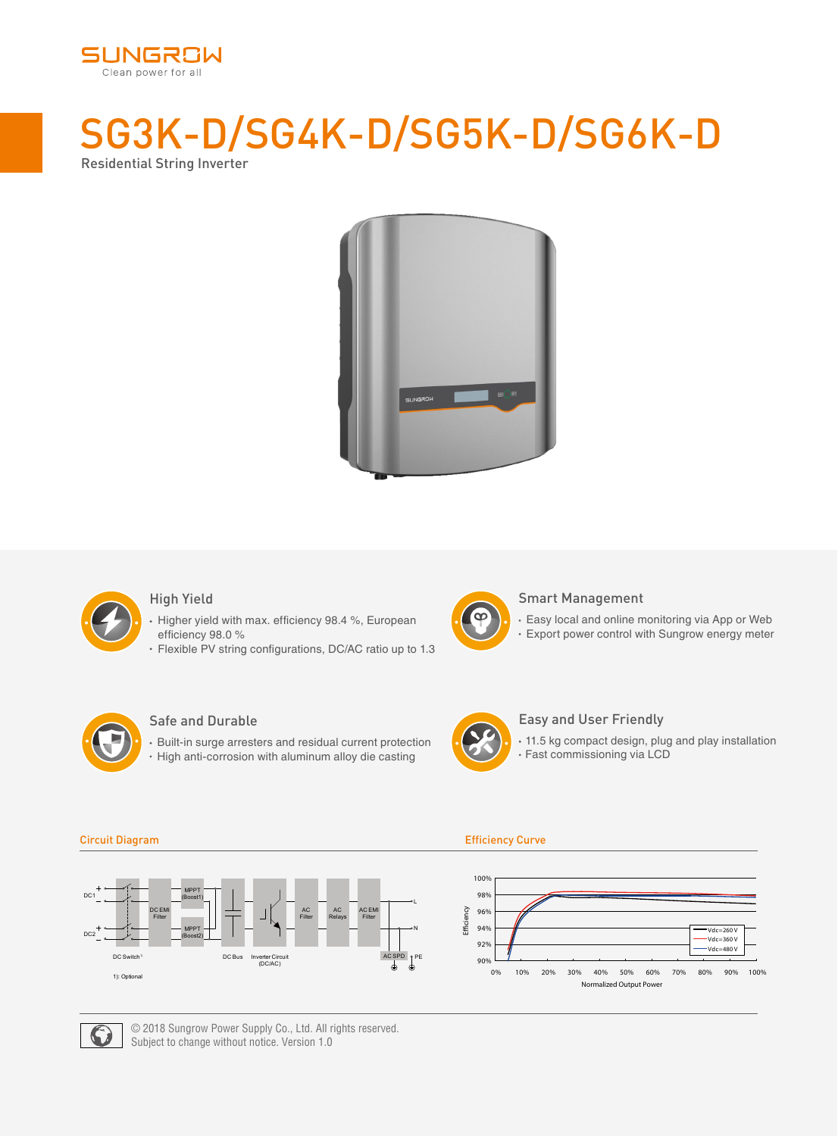

# SG3K-D/SG4K-D/SG5K-D/SG6K-D Residential String Inverter





### High Yield

- Higher yield with max. efficiency 98.4 %, European efficiency 98.0 %
- Flexible PV string configurations, DC/AC ratio up to 1.3



#### Smart Management

Easy local and online monitoring via App or Web Export power control with Sungrow energy meter



#### Safe and Durable

Built-in surge arresters and residual current protection • High anti-corrosion with aluminum alloy die casting



#### Easy and User Friendly

11.5 kg compact design, plug and play installation Fast commissioning via LCD



#### Circuit Diagram Efficiency Curve





© 2018 Sungrow Power Supply Co., Ltd. All rights reserved. Subject to change without notice. Version 1.0